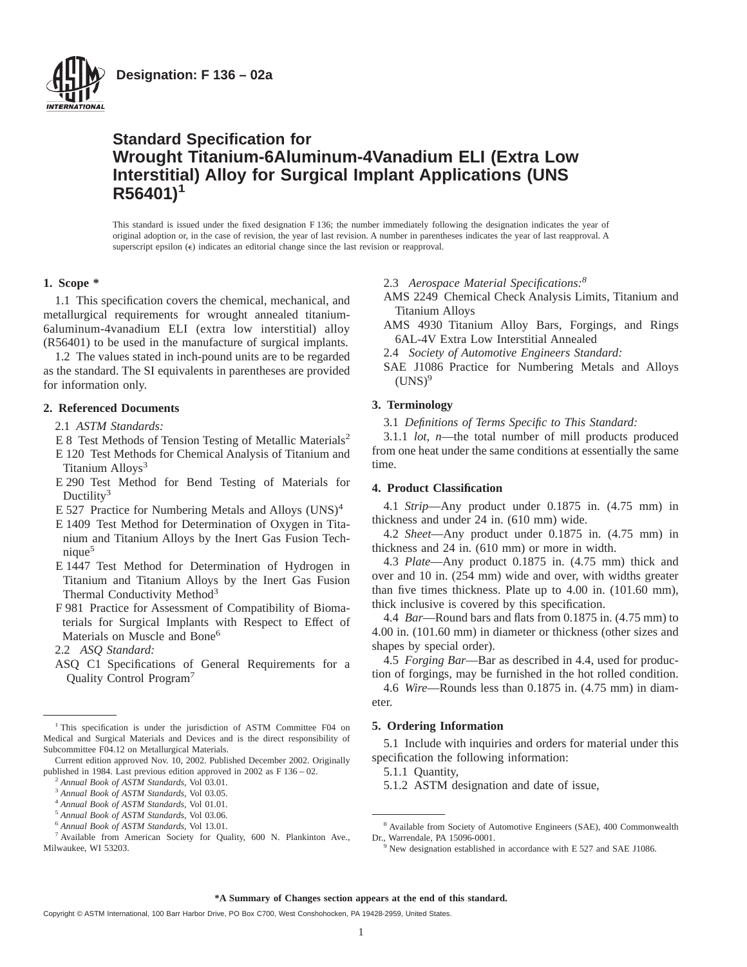

**Designation: F 136 – 02a**

# **Standard Specification for Wrought Titanium-6Aluminum-4Vanadium ELI (Extra Low Interstitial) Alloy for Surgical Implant Applications (UNS R56401)1**

This standard is issued under the fixed designation F 136; the number immediately following the designation indicates the year of original adoption or, in the case of revision, the year of last revision. A number in parentheses indicates the year of last reapproval. A superscript epsilon  $(\epsilon)$  indicates an editorial change since the last revision or reapproval.

## **1. Scope \***

1.1 This specification covers the chemical, mechanical, and metallurgical requirements for wrought annealed titanium-6aluminum-4vanadium ELI (extra low interstitial) alloy (R56401) to be used in the manufacture of surgical implants.

1.2 The values stated in inch-pound units are to be regarded as the standard. The SI equivalents in parentheses are provided for information only.

## **2. Referenced Documents**

- 2.1 *ASTM Standards:*
- E 8 Test Methods of Tension Testing of Metallic Materials<sup>2</sup>
- E 120 Test Methods for Chemical Analysis of Titanium and Titanium Alloys<sup>3</sup>
- E 290 Test Method for Bend Testing of Materials for Ductility<sup>3</sup>
- E 527 Practice for Numbering Metals and Alloys  $(UNS)^4$
- E 1409 Test Method for Determination of Oxygen in Titanium and Titanium Alloys by the Inert Gas Fusion Technique5
- E 1447 Test Method for Determination of Hydrogen in Titanium and Titanium Alloys by the Inert Gas Fusion Thermal Conductivity Method<sup>3</sup>
- F 981 Practice for Assessment of Compatibility of Biomaterials for Surgical Implants with Respect to Effect of Materials on Muscle and Bone<sup>6</sup>
- 2.2 *ASQ Standard:*
- ASQ C1 Specifications of General Requirements for a Quality Control Program7

2.3 *Aerospace Material Specifications:8*

- AMS 2249 Chemical Check Analysis Limits, Titanium and Titanium Alloys
- AMS 4930 Titanium Alloy Bars, Forgings, and Rings 6AL-4V Extra Low Interstitial Annealed
- 2.4 *Society of Automotive Engineers Standard:*
- SAE J1086 Practice for Numbering Metals and Alloys  $(UNS)^9$

## **3. Terminology**

3.1 *Definitions of Terms Specific to This Standard:*

3.1.1 *lot*, *n*—the total number of mill products produced from one heat under the same conditions at essentially the same time.

## **4. Product Classification**

4.1 *Strip*—Any product under 0.1875 in. (4.75 mm) in thickness and under 24 in. (610 mm) wide.

4.2 *Sheet*—Any product under 0.1875 in. (4.75 mm) in thickness and 24 in. (610 mm) or more in width.

4.3 *Plate*—Any product 0.1875 in. (4.75 mm) thick and over and 10 in. (254 mm) wide and over, with widths greater than five times thickness. Plate up to 4.00 in. (101.60 mm), thick inclusive is covered by this specification.

4.4 *Bar*—Round bars and flats from 0.1875 in. (4.75 mm) to 4.00 in. (101.60 mm) in diameter or thickness (other sizes and shapes by special order).

4.5 *Forging Bar*—Bar as described in 4.4, used for production of forgings, may be furnished in the hot rolled condition.

4.6 *Wire*—Rounds less than 0.1875 in. (4.75 mm) in diameter.

## **5. Ordering Information**

5.1 Include with inquiries and orders for material under this specification the following information:

5.1.1 Quantity,

5.1.2 ASTM designation and date of issue,

#### **\*A Summary of Changes section appears at the end of this standard.**

<sup>&</sup>lt;sup>1</sup> This specification is under the jurisdiction of ASTM Committee F04 on Medical and Surgical Materials and Devices and is the direct responsibility of Subcommittee F04.12 on Metallurgical Materials.

Current edition approved Nov. 10, 2002. Published December 2002. Originally published in 1984. Last previous edition approved in 2002 as F 136 – 02.

<sup>2</sup> *Annual Book of ASTM Standards*, Vol 03.01.

<sup>3</sup> *Annual Book of ASTM Standards*, Vol 03.05.

<sup>4</sup> *Annual Book of ASTM Standards*, Vol 01.01.

<sup>5</sup> *Annual Book of ASTM Standards*, Vol 03.06.

<sup>6</sup> *Annual Book of ASTM Standards*, Vol 13.01.

<sup>7</sup> Available from American Society for Quality, 600 N. Plankinton Ave., Milwaukee, WI 53203.

<sup>8</sup> Available from Society of Automotive Engineers (SAE), 400 Commonwealth Dr., Warrendale, PA 15096-0001.

<sup>9</sup> New designation established in accordance with E 527 and SAE J1086.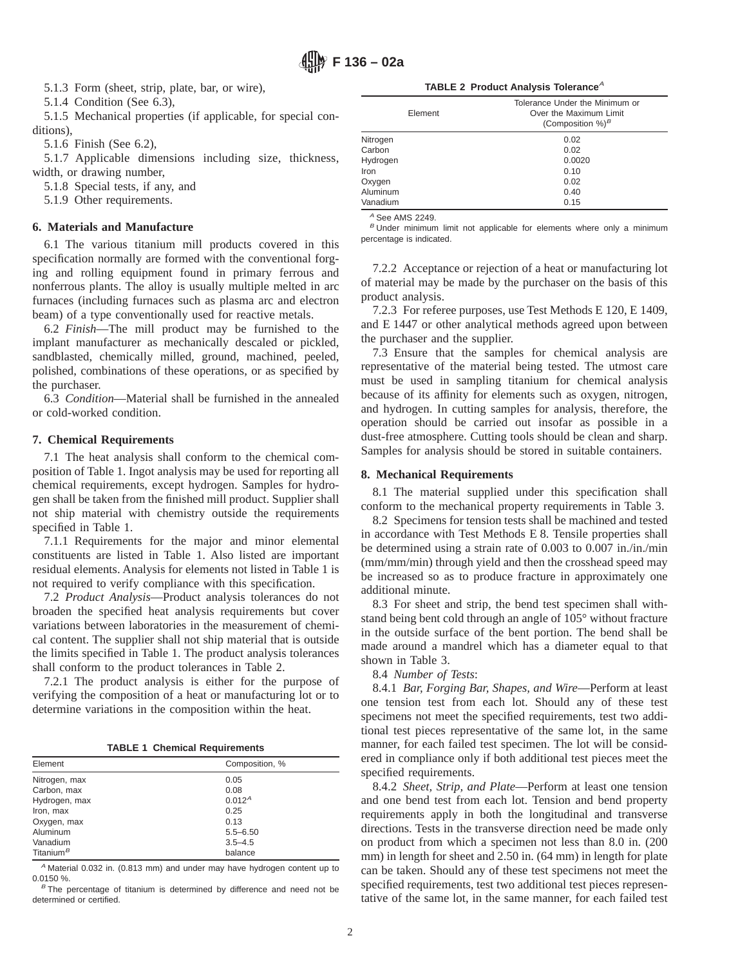**F 136 – 02a**

5.1.3 Form (sheet, strip, plate, bar, or wire),

5.1.4 Condition (See 6.3),

5.1.5 Mechanical properties (if applicable, for special conditions),

5.1.6 Finish (See 6.2),

5.1.7 Applicable dimensions including size, thickness, width, or drawing number,

5.1.8 Special tests, if any, and

5.1.9 Other requirements.

## **6. Materials and Manufacture**

6.1 The various titanium mill products covered in this specification normally are formed with the conventional forging and rolling equipment found in primary ferrous and nonferrous plants. The alloy is usually multiple melted in arc furnaces (including furnaces such as plasma arc and electron beam) of a type conventionally used for reactive metals.

6.2 *Finish*—The mill product may be furnished to the implant manufacturer as mechanically descaled or pickled, sandblasted, chemically milled, ground, machined, peeled, polished, combinations of these operations, or as specified by the purchaser.

6.3 *Condition*—Material shall be furnished in the annealed or cold-worked condition.

## **7. Chemical Requirements**

7.1 The heat analysis shall conform to the chemical composition of Table 1. Ingot analysis may be used for reporting all chemical requirements, except hydrogen. Samples for hydrogen shall be taken from the finished mill product. Supplier shall not ship material with chemistry outside the requirements specified in Table 1.

7.1.1 Requirements for the major and minor elemental constituents are listed in Table 1. Also listed are important residual elements. Analysis for elements not listed in Table 1 is not required to verify compliance with this specification.

7.2 *Product Analysis*—Product analysis tolerances do not broaden the specified heat analysis requirements but cover variations between laboratories in the measurement of chemical content. The supplier shall not ship material that is outside the limits specified in Table 1. The product analysis tolerances shall conform to the product tolerances in Table 2.

7.2.1 The product analysis is either for the purpose of verifying the composition of a heat or manufacturing lot or to determine variations in the composition within the heat.

**TABLE 1 Chemical Requirements**

| Element               | Composition, %     |  |  |  |  |
|-----------------------|--------------------|--|--|--|--|
| Nitrogen, max         | 0.05               |  |  |  |  |
| Carbon, max           | 0.08               |  |  |  |  |
| Hydrogen, max         | 0.012 <sup>A</sup> |  |  |  |  |
| Iron, max             | 0.25               |  |  |  |  |
| Oxygen, max           | 0.13               |  |  |  |  |
| Aluminum              | $5.5 - 6.50$       |  |  |  |  |
| Vanadium              | $3.5 - 4.5$        |  |  |  |  |
| Titanium <sup>B</sup> | balance            |  |  |  |  |

<sup>A</sup> Material 0.032 in. (0.813 mm) and under may have hydrogen content up to 0.0150 %.

 $B$ <sup>B</sup> The percentage of titanium is determined by difference and need not be determined or certified.

**TABLE 2 Product Analysis Tolerance<sup>A</sup>** 

| Element  | Tolerance Under the Minimum or<br>Over the Maximum Limit<br>(Composition %) $^B$ |
|----------|----------------------------------------------------------------------------------|
| Nitrogen | 0.02                                                                             |
| Carbon   | 0.02                                                                             |
| Hydrogen | 0.0020                                                                           |
| Iron     | 0.10                                                                             |
| Oxygen   | 0.02                                                                             |
| Aluminum | 0.40                                                                             |
| Vanadium | 0.15                                                                             |

 $A$  See AMS 2249.

 $B$  Under minimum limit not applicable for elements where only a minimum percentage is indicated.

7.2.2 Acceptance or rejection of a heat or manufacturing lot of material may be made by the purchaser on the basis of this product analysis.

7.2.3 For referee purposes, use Test Methods E 120, E 1409, and E 1447 or other analytical methods agreed upon between the purchaser and the supplier.

7.3 Ensure that the samples for chemical analysis are representative of the material being tested. The utmost care must be used in sampling titanium for chemical analysis because of its affinity for elements such as oxygen, nitrogen, and hydrogen. In cutting samples for analysis, therefore, the operation should be carried out insofar as possible in a dust-free atmosphere. Cutting tools should be clean and sharp. Samples for analysis should be stored in suitable containers.

## **8. Mechanical Requirements**

8.1 The material supplied under this specification shall conform to the mechanical property requirements in Table 3.

8.2 Specimens for tension tests shall be machined and tested in accordance with Test Methods E 8. Tensile properties shall be determined using a strain rate of 0.003 to 0.007 in./in./min (mm/mm/min) through yield and then the crosshead speed may be increased so as to produce fracture in approximately one additional minute.

8.3 For sheet and strip, the bend test specimen shall withstand being bent cold through an angle of 105° without fracture in the outside surface of the bent portion. The bend shall be made around a mandrel which has a diameter equal to that shown in Table 3.

8.4 *Number of Tests*:

8.4.1 *Bar, Forging Bar, Shapes, and Wire*—Perform at least one tension test from each lot. Should any of these test specimens not meet the specified requirements, test two additional test pieces representative of the same lot, in the same manner, for each failed test specimen. The lot will be considered in compliance only if both additional test pieces meet the specified requirements.

8.4.2 *Sheet, Strip, and Plate*—Perform at least one tension and one bend test from each lot. Tension and bend property requirements apply in both the longitudinal and transverse directions. Tests in the transverse direction need be made only on product from which a specimen not less than 8.0 in. (200 mm) in length for sheet and 2.50 in. (64 mm) in length for plate can be taken. Should any of these test specimens not meet the specified requirements, test two additional test pieces representative of the same lot, in the same manner, for each failed test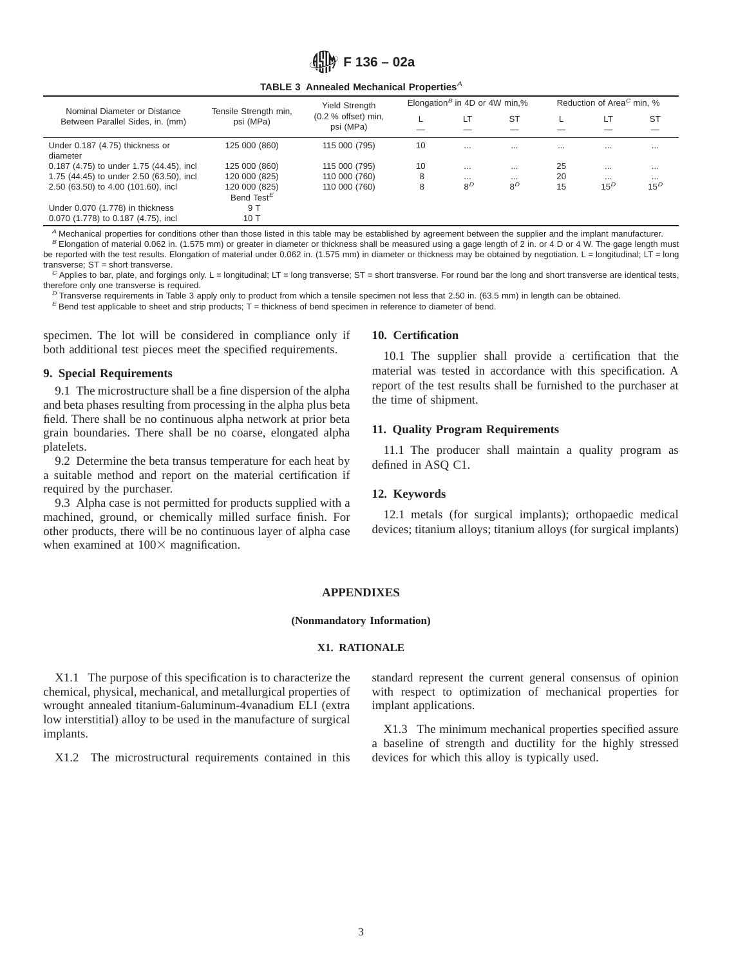

#### **TABLE 3 Annealed Mechanical Properties**<sup>A</sup>

| Nominal Diameter or Distance<br>Between Parallel Sides, in. (mm) | Tensile Strength min,<br>psi (MPa) | <b>Yield Strength</b><br>$(0.2 %$ offset) min,<br>psi (MPa) | Elongation <sup>B</sup> in 4D or 4W min,% |                |           | Reduction of Area <sup>C</sup> min, % |          |           |
|------------------------------------------------------------------|------------------------------------|-------------------------------------------------------------|-------------------------------------------|----------------|-----------|---------------------------------------|----------|-----------|
|                                                                  |                                    |                                                             |                                           |                | <b>ST</b> |                                       | LT       | <b>ST</b> |
|                                                                  |                                    |                                                             |                                           |                |           |                                       |          |           |
| Under 0.187 (4.75) thickness or                                  | 125 000 (860)                      | 115 000 (795)                                               | 10                                        | $\cdots$       | $\cdots$  | $\cdots$                              | $\cdots$ | $\cdots$  |
| diameter                                                         |                                    |                                                             |                                           |                |           |                                       |          |           |
| 0.187 (4.75) to under 1.75 (44.45), incl                         | 125 000 (860)                      | 115 000 (795)                                               | 10                                        | $\cdots$       | $\cdots$  | 25                                    | $\cdots$ | $\cdots$  |
| 1.75 (44.45) to under 2.50 (63.50), incl                         | 120 000 (825)                      | 110 000 (760)                                               | 8                                         | $\cdots$       | $\cdots$  | 20                                    | $\cdots$ | $\cdots$  |
| 2.50 (63.50) to 4.00 (101.60), incl                              | 120 000 (825)                      | 110 000 (760)                                               | 8                                         | 8 <sup>D</sup> | $8^D$     | 15                                    | $15^D$   | $15^D$    |
|                                                                  | Bend Test <sup>E</sup>             |                                                             |                                           |                |           |                                       |          |           |
| Under 0.070 (1.778) in thickness                                 | 9 T                                |                                                             |                                           |                |           |                                       |          |           |
| 0.070 (1.778) to 0.187 (4.75), incl                              | 10 T                               |                                                             |                                           |                |           |                                       |          |           |

 $^A$  Mechanical properties for conditions other than those listed in this table may be established by agreement between the supplier and the implant manufacturer. B Elongation of material 0.062 in. (1.575 mm) or greater in diameter or thickness shall be measured using a gage length of 2 in. or 4 D or 4 W. The gage length must be reported with the test results. Elongation of material under 0.062 in. (1.575 mm) in diameter or thickness may be obtained by negotiation. L = longitudinal; LT = long

transverse; ST = short transverse.  $^C$  Applies to bar, plate, and forgings only. L = longitudinal; LT = long transverse; ST = short transverse. For round bar the long and short transverse are identical tests,

therefore only one transverse is required.

 $^D$  Transverse requirements in Table 3 apply only to product from which a tensile specimen not less that 2.50 in. (63.5 mm) in length can be obtained.

 $E$  Bend test applicable to sheet and strip products; T = thickness of bend specimen in reference to diameter of bend.

specimen. The lot will be considered in compliance only if both additional test pieces meet the specified requirements.

## **9. Special Requirements**

9.1 The microstructure shall be a fine dispersion of the alpha and beta phases resulting from processing in the alpha plus beta field. There shall be no continuous alpha network at prior beta grain boundaries. There shall be no coarse, elongated alpha platelets.

9.2 Determine the beta transus temperature for each heat by a suitable method and report on the material certification if required by the purchaser.

9.3 Alpha case is not permitted for products supplied with a machined, ground, or chemically milled surface finish. For other products, there will be no continuous layer of alpha case when examined at  $100\times$  magnification.

#### **10. Certification**

10.1 The supplier shall provide a certification that the material was tested in accordance with this specification. A report of the test results shall be furnished to the purchaser at the time of shipment.

## **11. Quality Program Requirements**

11.1 The producer shall maintain a quality program as defined in ASQ C1.

#### **12. Keywords**

12.1 metals (for surgical implants); orthopaedic medical devices; titanium alloys; titanium alloys (for surgical implants)

#### **APPENDIXES**

#### **(Nonmandatory Information)**

#### **X1. RATIONALE**

X1.1 The purpose of this specification is to characterize the chemical, physical, mechanical, and metallurgical properties of wrought annealed titanium-6aluminum-4vanadium ELI (extra low interstitial) alloy to be used in the manufacture of surgical implants.

X1.2 The microstructural requirements contained in this

standard represent the current general consensus of opinion with respect to optimization of mechanical properties for implant applications.

X1.3 The minimum mechanical properties specified assure a baseline of strength and ductility for the highly stressed devices for which this alloy is typically used.